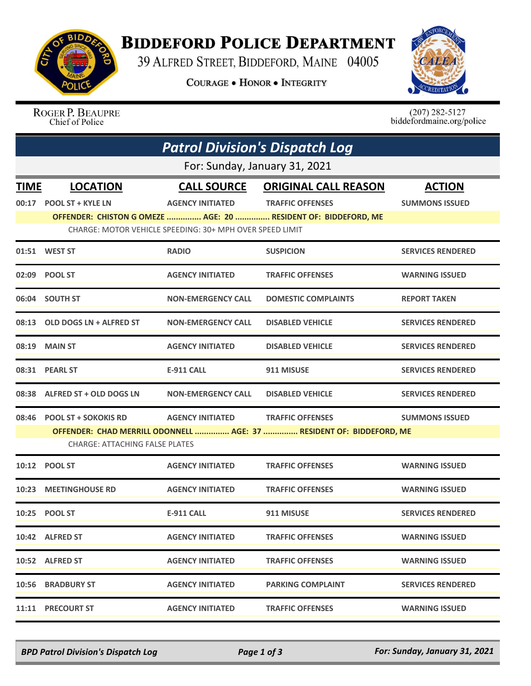

## **BIDDEFORD POLICE DEPARTMENT**

39 ALFRED STREET, BIDDEFORD, MAINE 04005

**COURAGE . HONOR . INTEGRITY** 



ROGER P. BEAUPRE Chief of Police

 $(207)$  282-5127<br>biddefordmaine.org/police

|                               | <b>Patrol Division's Dispatch Log</b> |                                                          |                                                                      |                          |  |  |  |
|-------------------------------|---------------------------------------|----------------------------------------------------------|----------------------------------------------------------------------|--------------------------|--|--|--|
| For: Sunday, January 31, 2021 |                                       |                                                          |                                                                      |                          |  |  |  |
| <u>TIME</u>                   | <b>LOCATION</b>                       |                                                          | <b>CALL SOURCE ORIGINAL CALL REASON</b>                              | <b>ACTION</b>            |  |  |  |
|                               | 00:17 POOL ST + KYLE LN               | <b>AGENCY INITIATED</b>                                  | <b>TRAFFIC OFFENSES</b>                                              | <b>SUMMONS ISSUED</b>    |  |  |  |
|                               |                                       |                                                          | OFFENDER: CHISTON G OMEZE  AGE: 20  RESIDENT OF: BIDDEFORD, ME       |                          |  |  |  |
|                               |                                       | CHARGE: MOTOR VEHICLE SPEEDING: 30+ MPH OVER SPEED LIMIT |                                                                      |                          |  |  |  |
|                               | 01:51 WEST ST                         | <b>RADIO</b>                                             | <b>SUSPICION</b>                                                     | <b>SERVICES RENDERED</b> |  |  |  |
|                               | 02:09 POOL ST                         | <b>AGENCY INITIATED</b>                                  | <b>TRAFFIC OFFENSES</b>                                              | <b>WARNING ISSUED</b>    |  |  |  |
|                               | 06:04 SOUTH ST                        | <b>NON-EMERGENCY CALL</b>                                | <b>DOMESTIC COMPLAINTS</b>                                           | <b>REPORT TAKEN</b>      |  |  |  |
|                               | 08:13 OLD DOGS LN + ALFRED ST         | <b>NON-EMERGENCY CALL</b>                                | <b>DISABLED VEHICLE</b>                                              | <b>SERVICES RENDERED</b> |  |  |  |
|                               | 08:19 MAIN ST                         | <b>AGENCY INITIATED</b>                                  | <b>DISABLED VEHICLE</b>                                              | <b>SERVICES RENDERED</b> |  |  |  |
|                               | 08:31 PEARL ST                        | <b>E-911 CALL</b>                                        | 911 MISUSE                                                           | <b>SERVICES RENDERED</b> |  |  |  |
|                               | 08:38 ALFRED ST + OLD DOGS LN         | <b>NON-EMERGENCY CALL</b>                                | <b>DISABLED VEHICLE</b>                                              | <b>SERVICES RENDERED</b> |  |  |  |
|                               | 08:46 POOL ST + SOKOKIS RD            | <b>AGENCY INITIATED</b>                                  | <b>TRAFFIC OFFENSES</b>                                              | <b>SUMMONS ISSUED</b>    |  |  |  |
|                               |                                       |                                                          | OFFENDER: CHAD MERRILL ODONNELL  AGE: 37  RESIDENT OF: BIDDEFORD, ME |                          |  |  |  |
|                               | <b>CHARGE: ATTACHING FALSE PLATES</b> |                                                          |                                                                      |                          |  |  |  |
|                               | 10:12 POOL ST                         | <b>AGENCY INITIATED</b>                                  | <b>TRAFFIC OFFENSES</b>                                              | <b>WARNING ISSUED</b>    |  |  |  |
|                               | 10:23 MEETINGHOUSE RD                 | <b>AGENCY INITIATED</b>                                  | <b>TRAFFIC OFFENSES</b>                                              | <b>WARNING ISSUED</b>    |  |  |  |
|                               | 10:25 POOL ST                         | <b>E-911 CALL</b>                                        | 911 MISUSE                                                           | <b>SERVICES RENDERED</b> |  |  |  |
|                               | 10:42 ALFRED ST                       | <b>AGENCY INITIATED</b>                                  | <b>TRAFFIC OFFENSES</b>                                              | <b>WARNING ISSUED</b>    |  |  |  |
|                               | 10:52 ALFRED ST                       | <b>AGENCY INITIATED</b>                                  | <b>TRAFFIC OFFENSES</b>                                              | <b>WARNING ISSUED</b>    |  |  |  |
|                               | 10:56 BRADBURY ST                     | <b>AGENCY INITIATED</b>                                  | <b>PARKING COMPLAINT</b>                                             | <b>SERVICES RENDERED</b> |  |  |  |
|                               | 11:11 PRECOURT ST                     | <b>AGENCY INITIATED</b>                                  | <b>TRAFFIC OFFENSES</b>                                              | <b>WARNING ISSUED</b>    |  |  |  |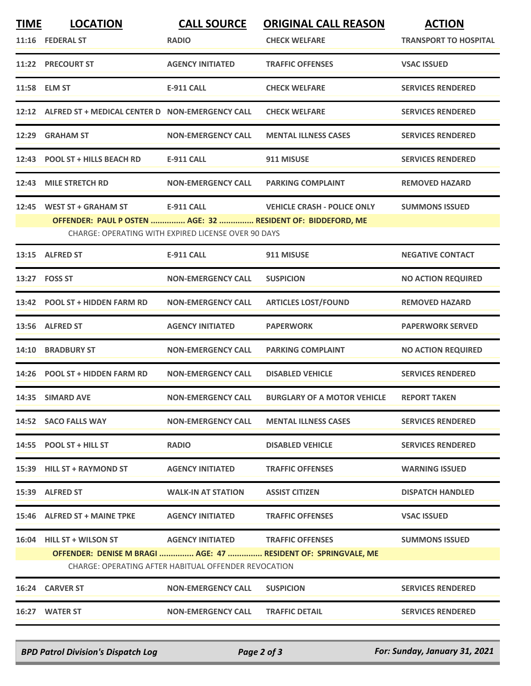| <b>TIME</b>                                          | <b>LOCATION</b>                                             | <b>CALL SOURCE</b>                                  | <b>ORIGINAL CALL REASON</b>                                    | <b>ACTION</b>                |  |  |
|------------------------------------------------------|-------------------------------------------------------------|-----------------------------------------------------|----------------------------------------------------------------|------------------------------|--|--|
|                                                      | 11:16 FEDERAL ST                                            | <b>RADIO</b>                                        | <b>CHECK WELFARE</b>                                           | <b>TRANSPORT TO HOSPITAL</b> |  |  |
|                                                      | 11:22 PRECOURT ST                                           | <b>AGENCY INITIATED</b>                             | <b>TRAFFIC OFFENSES</b>                                        | <b>VSAC ISSUED</b>           |  |  |
|                                                      | 11:58 ELM ST                                                | <b>E-911 CALL</b>                                   | <b>CHECK WELFARE</b>                                           | <b>SERVICES RENDERED</b>     |  |  |
|                                                      | 12:12 ALFRED ST + MEDICAL CENTER D NON-EMERGENCY CALL       |                                                     | <b>CHECK WELFARE</b>                                           | <b>SERVICES RENDERED</b>     |  |  |
|                                                      | 12:29 GRAHAM ST                                             | <b>NON-EMERGENCY CALL</b>                           | <b>MENTAL ILLNESS CASES</b>                                    | <b>SERVICES RENDERED</b>     |  |  |
|                                                      | 12:43 POOL ST + HILLS BEACH RD                              | <b>E-911 CALL</b>                                   | 911 MISUSE                                                     | <b>SERVICES RENDERED</b>     |  |  |
|                                                      | 12:43 MILE STRETCH RD                                       | <b>NON-EMERGENCY CALL</b>                           | <b>PARKING COMPLAINT</b>                                       | <b>REMOVED HAZARD</b>        |  |  |
| 12:45                                                | <b>WEST ST + GRAHAM ST</b>                                  | <b>E-911 CALL</b>                                   | <b>VEHICLE CRASH - POLICE ONLY</b>                             | <b>SUMMONS ISSUED</b>        |  |  |
|                                                      | OFFENDER: PAUL P OSTEN  AGE: 32  RESIDENT OF: BIDDEFORD, ME | CHARGE: OPERATING WITH EXPIRED LICENSE OVER 90 DAYS |                                                                |                              |  |  |
|                                                      |                                                             |                                                     |                                                                |                              |  |  |
|                                                      | 13:15 ALFRED ST                                             | <b>E-911 CALL</b>                                   | 911 MISUSE                                                     | <b>NEGATIVE CONTACT</b>      |  |  |
| 13:27                                                | <b>FOSS ST</b>                                              | <b>NON-EMERGENCY CALL</b>                           | <b>SUSPICION</b>                                               | <b>NO ACTION REQUIRED</b>    |  |  |
|                                                      | 13:42 POOL ST + HIDDEN FARM RD                              | <b>NON-EMERGENCY CALL</b>                           | <b>ARTICLES LOST/FOUND</b>                                     | <b>REMOVED HAZARD</b>        |  |  |
|                                                      | 13:56 ALFRED ST                                             | <b>AGENCY INITIATED</b>                             | <b>PAPERWORK</b>                                               | <b>PAPERWORK SERVED</b>      |  |  |
| 14:10                                                | <b>BRADBURY ST</b>                                          | <b>NON-EMERGENCY CALL</b>                           | <b>PARKING COMPLAINT</b>                                       | <b>NO ACTION REQUIRED</b>    |  |  |
|                                                      | 14:26 POOL ST + HIDDEN FARM RD                              | <b>NON-EMERGENCY CALL</b>                           | <b>DISABLED VEHICLE</b>                                        | <b>SERVICES RENDERED</b>     |  |  |
|                                                      | 14:35 SIMARD AVE                                            | <b>NON-EMERGENCY CALL</b>                           | <b>BURGLARY OF A MOTOR VEHICLE</b>                             | <b>REPORT TAKEN</b>          |  |  |
|                                                      | 14:52 SACO FALLS WAY                                        | <b>NON-EMERGENCY CALL</b>                           | <b>MENTAL ILLNESS CASES</b>                                    | <b>SERVICES RENDERED</b>     |  |  |
|                                                      | 14:55 POOL ST + HILL ST                                     | <b>RADIO</b>                                        | <b>DISABLED VEHICLE</b>                                        | <b>SERVICES RENDERED</b>     |  |  |
|                                                      | 15:39 HILL ST + RAYMOND ST                                  | <b>AGENCY INITIATED</b>                             | <b>TRAFFIC OFFENSES</b>                                        | <b>WARNING ISSUED</b>        |  |  |
|                                                      | 15:39 ALFRED ST                                             | <b>WALK-IN AT STATION</b>                           | <b>ASSIST CITIZEN</b>                                          | <b>DISPATCH HANDLED</b>      |  |  |
|                                                      | 15:46 ALFRED ST + MAINE TPKE                                | <b>AGENCY INITIATED</b>                             | <b>TRAFFIC OFFENSES</b>                                        | <b>VSAC ISSUED</b>           |  |  |
|                                                      | 16:04 HILL ST + WILSON ST                                   | <b>AGENCY INITIATED</b>                             | <b>TRAFFIC OFFENSES</b>                                        | <b>SUMMONS ISSUED</b>        |  |  |
|                                                      |                                                             |                                                     | OFFENDER: DENISE M BRAGI  AGE: 47  RESIDENT OF: SPRINGVALE, ME |                              |  |  |
| CHARGE: OPERATING AFTER HABITUAL OFFENDER REVOCATION |                                                             |                                                     |                                                                |                              |  |  |
|                                                      | 16:24 CARVER ST                                             | <b>NON-EMERGENCY CALL</b>                           | <b>SUSPICION</b>                                               | <b>SERVICES RENDERED</b>     |  |  |
|                                                      | 16:27 WATER ST                                              | <b>NON-EMERGENCY CALL</b>                           | <b>TRAFFIC DETAIL</b>                                          | <b>SERVICES RENDERED</b>     |  |  |
|                                                      |                                                             |                                                     |                                                                |                              |  |  |

*BPD Patrol Division's Dispatch Log Page 2 of 3 For: Sunday, January 31, 2021*